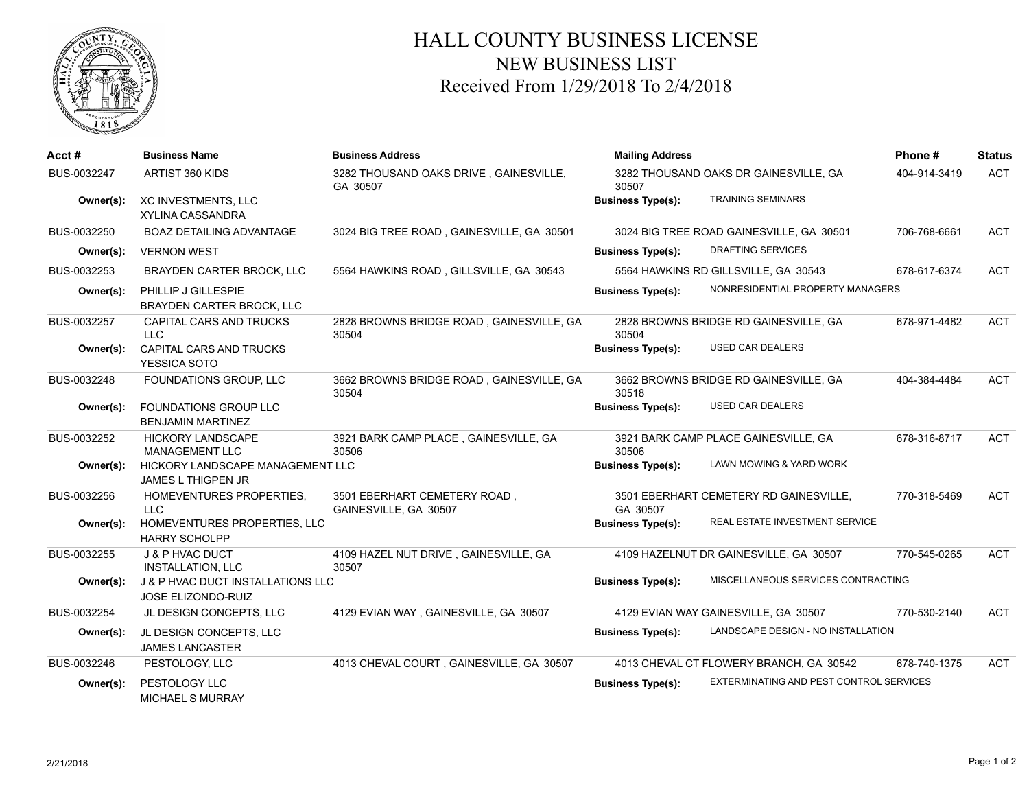

## HALL COUNTY BUSINESS LICENSE NEW BUSINESS LIST Received From 1/29/2018 To 2/4/2018

| Acct#       | <b>Business Name</b>                                                      | <b>Business Address</b>                               | <b>Mailing Address</b>                                              | Phone#       | <b>Status</b> |
|-------------|---------------------------------------------------------------------------|-------------------------------------------------------|---------------------------------------------------------------------|--------------|---------------|
| BUS-0032247 | ARTIST 360 KIDS                                                           | 3282 THOUSAND OAKS DRIVE, GAINESVILLE,<br>GA 30507    | 3282 THOUSAND OAKS DR GAINESVILLE, GA<br>30507                      | 404-914-3419 | <b>ACT</b>    |
| Owner(s):   | <b>XC INVESTMENTS, LLC</b><br>XYLINA CASSANDRA                            |                                                       | <b>TRAINING SEMINARS</b><br><b>Business Type(s):</b>                |              |               |
| BUS-0032250 | <b>BOAZ DETAILING ADVANTAGE</b>                                           | 3024 BIG TREE ROAD, GAINESVILLE, GA 30501             | 3024 BIG TREE ROAD GAINESVILLE, GA 30501                            | 706-768-6661 | <b>ACT</b>    |
| Owner(s):   | <b>VERNON WEST</b>                                                        |                                                       | DRAFTING SERVICES<br><b>Business Type(s):</b>                       |              |               |
| BUS-0032253 | BRAYDEN CARTER BROCK, LLC                                                 | 5564 HAWKINS ROAD, GILLSVILLE, GA 30543               | 5564 HAWKINS RD GILLSVILLE, GA 30543                                | 678-617-6374 | <b>ACT</b>    |
| Owner(s):   | PHILLIP J GILLESPIE<br>BRAYDEN CARTER BROCK, LLC                          |                                                       | NONRESIDENTIAL PROPERTY MANAGERS<br><b>Business Type(s):</b>        |              |               |
| BUS-0032257 | CAPITAL CARS AND TRUCKS<br><b>LLC</b>                                     | 2828 BROWNS BRIDGE ROAD, GAINESVILLE, GA<br>30504     | 2828 BROWNS BRIDGE RD GAINESVILLE, GA<br>30504                      | 678-971-4482 | <b>ACT</b>    |
| Owner(s):   | <b>CAPITAL CARS AND TRUCKS</b><br>YESSICA SOTO                            |                                                       | <b>USED CAR DEALERS</b><br><b>Business Type(s):</b>                 |              |               |
| BUS-0032248 | FOUNDATIONS GROUP, LLC                                                    | 3662 BROWNS BRIDGE ROAD, GAINESVILLE, GA<br>30504     | 3662 BROWNS BRIDGE RD GAINESVILLE, GA<br>30518                      | 404-384-4484 | <b>ACT</b>    |
| Owner(s):   | <b>FOUNDATIONS GROUP LLC</b><br><b>BENJAMIN MARTINEZ</b>                  |                                                       | <b>USED CAR DEALERS</b><br><b>Business Type(s):</b>                 |              |               |
| BUS-0032252 | <b>HICKORY LANDSCAPE</b><br><b>MANAGEMENT LLC</b>                         | 3921 BARK CAMP PLACE, GAINESVILLE, GA<br>30506        | 3921 BARK CAMP PLACE GAINESVILLE, GA<br>30506                       | 678-316-8717 | <b>ACT</b>    |
| Owner(s):   | HICKORY LANDSCAPE MANAGEMENT LLC<br>JAMES L THIGPEN JR                    |                                                       | LAWN MOWING & YARD WORK<br><b>Business Type(s):</b>                 |              |               |
| BUS-0032256 | HOMEVENTURES PROPERTIES.<br><b>LLC</b>                                    | 3501 EBERHART CEMETERY ROAD,<br>GAINESVILLE, GA 30507 | 3501 EBERHART CEMETERY RD GAINESVILLE,<br>GA 30507                  | 770-318-5469 | <b>ACT</b>    |
| Owner(s):   | HOMEVENTURES PROPERTIES, LLC<br><b>HARRY SCHOLPP</b>                      |                                                       | REAL ESTATE INVESTMENT SERVICE<br><b>Business Type(s):</b>          |              |               |
| BUS-0032255 | J & P HVAC DUCT<br><b>INSTALLATION, LLC</b>                               | 4109 HAZEL NUT DRIVE, GAINESVILLE, GA<br>30507        | 4109 HAZELNUT DR GAINESVILLE, GA 30507                              | 770-545-0265 | <b>ACT</b>    |
| Owner(s):   | <b>J &amp; P HVAC DUCT INSTALLATIONS LLC</b><br><b>JOSE ELIZONDO-RUIZ</b> |                                                       | MISCELLANEOUS SERVICES CONTRACTING<br><b>Business Type(s):</b>      |              |               |
| BUS-0032254 | JL DESIGN CONCEPTS, LLC                                                   | 4129 EVIAN WAY, GAINESVILLE, GA 30507                 | 4129 EVIAN WAY GAINESVILLE, GA 30507                                | 770-530-2140 | <b>ACT</b>    |
| Owner(s):   | JL DESIGN CONCEPTS, LLC<br><b>JAMES LANCASTER</b>                         |                                                       | LANDSCAPE DESIGN - NO INSTALLATION<br><b>Business Type(s):</b>      |              |               |
| BUS-0032246 | PESTOLOGY, LLC                                                            | 4013 CHEVAL COURT, GAINESVILLE, GA 30507              | 4013 CHEVAL CT FLOWERY BRANCH, GA 30542                             | 678-740-1375 | <b>ACT</b>    |
| Owner(s):   | PESTOLOGY LLC<br><b>MICHAEL S MURRAY</b>                                  |                                                       | EXTERMINATING AND PEST CONTROL SERVICES<br><b>Business Type(s):</b> |              |               |